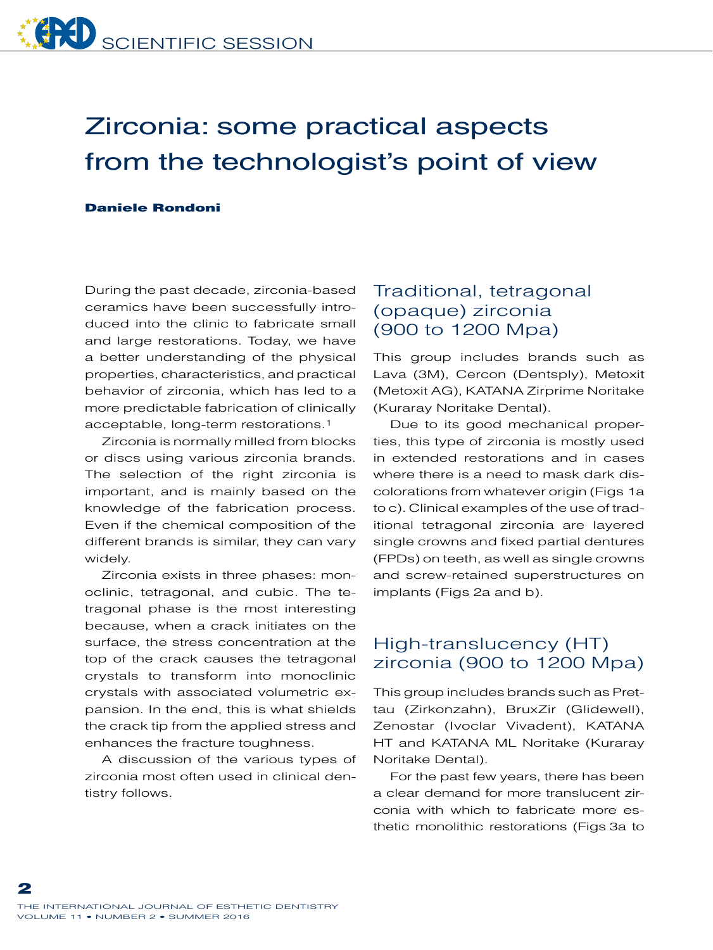# Zirconia: some practical aspects from the technologist's point of view

#### Daniele Rondoni

During the past decade, zirconia-based ceramics have been successfully introduced into the clinic to fabricate small and large restorations. Today, we have a better understanding of the physical properties, characteristics, and practical behavior of zirconia, which has led to a more predictable fabrication of clinically acceptable, long-term restorations.1

Zirconia is normally milled from blocks or discs using various zirconia brands. The selection of the right zirconia is important, and is mainly based on the knowledge of the fabrication process. Even if the chemical composition of the different brands is similar, they can vary widely.

Zirconia exists in three phases: monoclinic, tetragonal, and cubic. The tetragonal phase is the most interesting because, when a crack initiates on the surface, the stress concentration at the top of the crack causes the tetragonal crystals to transform into monoclinic crystals with associated volumetric expansion. In the end, this is what shields the crack tip from the applied stress and enhances the fracture toughness.

A discussion of the various types of zirconia most often used in clinical dentistry follows.

### Traditional, tetragonal (opaque) zirconia (900 to 1200 Mpa)

This group includes brands such as Lava (3M), Cercon (Dentsply), Metoxit (Metoxit AG), KATANA Zirprime Noritake (Kuraray Noritake Dental).

Due to its good mechanical properties, this type of zirconia is mostly used in extended restorations and in cases where there is a need to mask dark discolorations from whatever origin (Figs 1a to c). Clinical examples of the use of traditional tetragonal zirconia are layered single crowns and fixed partial dentures (FPDs) on teeth, as well as single crowns and screw-retained superstructures on implants (Figs 2a and b).

### High-translucency (HT) zirconia (900 to 1200 Mpa)

This group includes brands such as Prettau (Zirkonzahn), BruxZir (Glidewell), Zenostar (Ivoclar Vivadent), KATANA HT and KATANA ML Noritake (Kuraray Noritake Dental).

For the past few years, there has been a clear demand for more translucent zirconia with which to fabricate more esthetic monolithic restorations (Figs 3a to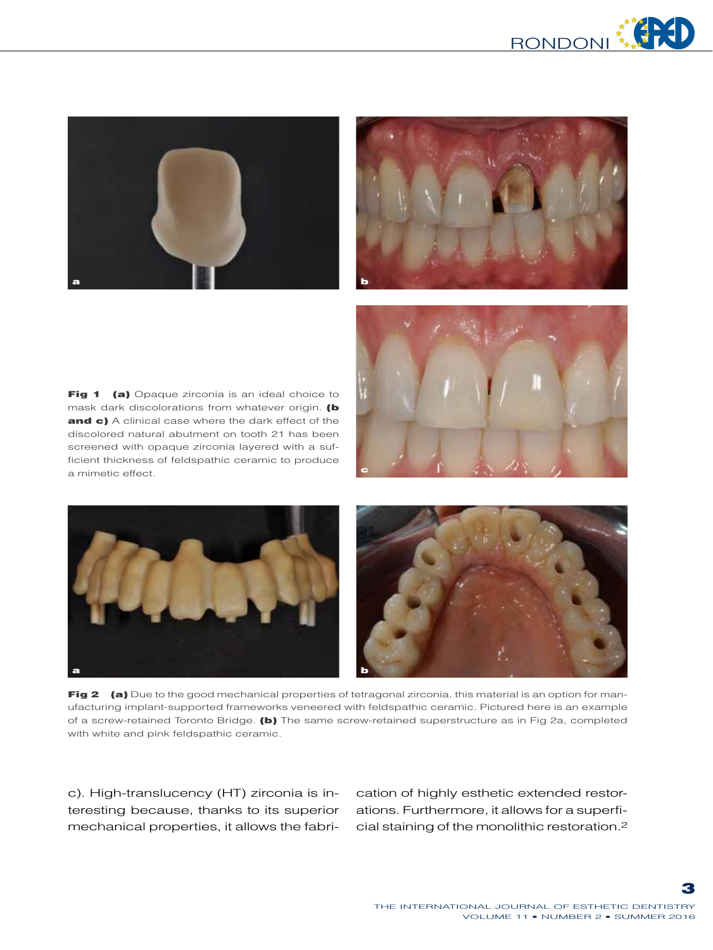



Fig 1 (a) Opaque zirconia is an ideal choice to mask dark discolorations from whatever origin. (b and c) A clinical case where the dark effect of the discolored natural abutment on tooth 21 has been screened with opaque zirconia layered with a sufficient thickness of feldspathic ceramic to produce a mimetic effect.





Fig 2 (a) Due to the good mechanical properties of tetragonal zirconia, this material is an option for manufacturing implant-supported frameworks veneered with feldspathic ceramic. Pictured here is an example of a screw-retained Toronto Bridge. (b) The same screw-retained superstructure as in Fig 2a, completed with white and pink feldspathic ceramic.

c). High-translucency (HT) zirconia is interesting because, thanks to its superior mechanical properties, it allows the fabrication of highly esthetic extended restorations. Furthermore, it allows for a superficial staining of the monolithic restoration.2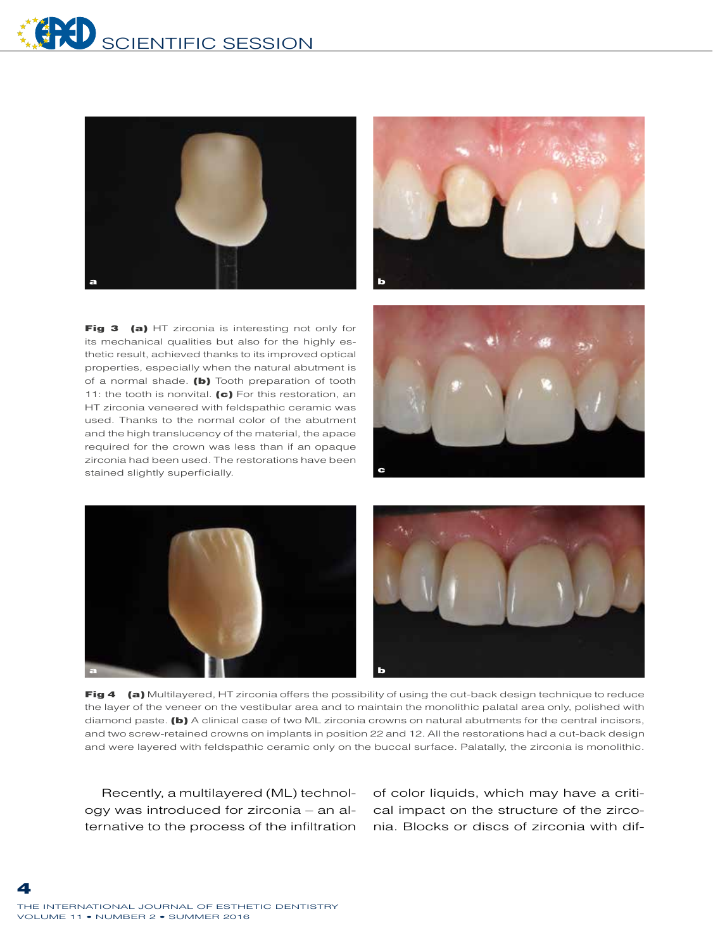

Fig 3 (a) HT zirconia is interesting not only for its mechanical qualities but also for the highly esthetic result, achieved thanks to its improved optical properties, especially when the natural abutment is of a normal shade. (b) Tooth preparation of tooth 11: the tooth is nonvital. (c) For this restoration, an HT zirconia veneered with feldspathic ceramic was used. Thanks to the normal color of the abutment and the high translucency of the material, the apace required for the crown was less than if an opaque zirconia had been used. The restorations have been stained slightly superficially.







Fig 4 (a) Multilayered, HT zirconia offers the possibility of using the cut-back design technique to reduce the layer of the veneer on the vestibular area and to maintain the monolithic palatal area only, polished with diamond paste. (b) A clinical case of two ML zirconia crowns on natural abutments for the central incisors, and two screw-retained crowns on implants in position 22 and 12. All the restorations had a cut-back design and were layered with feldspathic ceramic only on the buccal surface. Palatally, the zirconia is monolithic.

Recently, a multilayered (ML) technology was introduced for zirconia – an alternative to the process of the infiltration of color liquids, which may have a critical impact on the structure of the zirconia. Blocks or discs of zirconia with dif-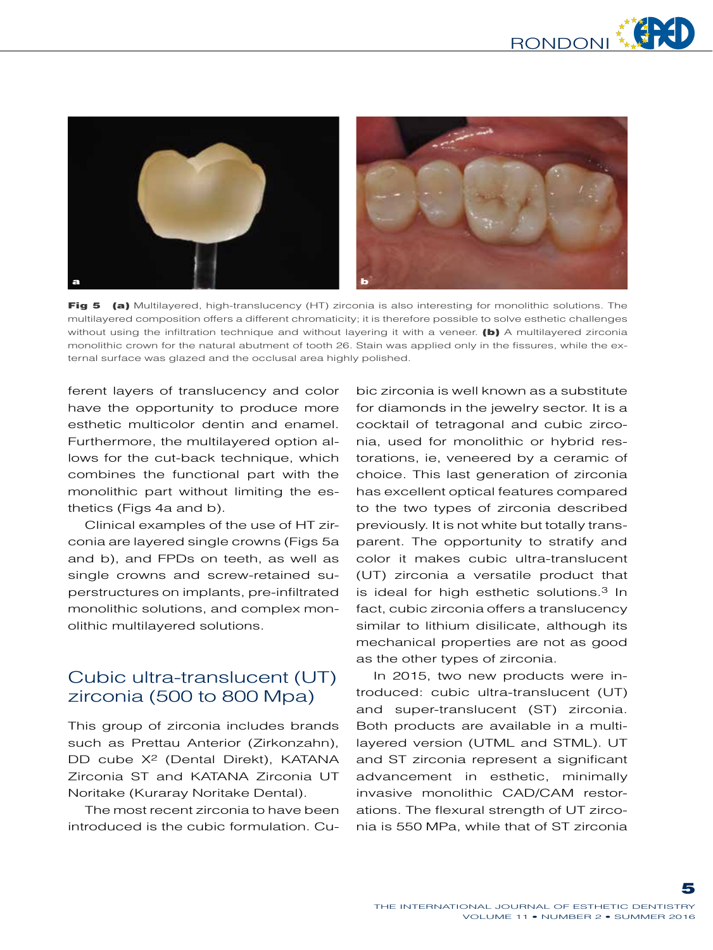

Fig 5 (a) Multilayered, high-translucency (HT) zirconia is also interesting for monolithic solutions. The multilayered composition offers a different chromaticity; it is therefore possible to solve esthetic challenges without using the infiltration technique and without layering it with a veneer. (b) A multilayered zirconia monolithic crown for the natural abutment of tooth 26. Stain was applied only in the fissures, while the external surface was glazed and the occlusal area highly polished.

ferent layers of translucency and color have the opportunity to produce more esthetic multicolor dentin and enamel. Furthermore, the multilayered option allows for the cut-back technique, which combines the functional part with the monolithic part without limiting the esthetics (Figs 4a and b).

Clinical examples of the use of HT zirconia are layered single crowns (Figs 5a and b), and FPDs on teeth, as well as single crowns and screw-retained superstructures on implants, pre-infiltrated monolithic solutions, and complex monolithic multilayered solutions.

## Cubic ultra-translucent (UT) zirconia (500 to 800 Mpa)

This group of zirconia includes brands such as Prettau Anterior (Zirkonzahn), DD cube X<sup>2</sup> (Dental Direkt), KATANA Zirconia ST and KATANA Zirconia UT Noritake (Kuraray Noritake Dental).

The most recent zirconia to have been introduced is the cubic formulation. Cubic zirconia is well known as a substitute for diamonds in the jewelry sector. It is a cocktail of tetragonal and cubic zirconia, used for monolithic or hybrid restorations, ie, veneered by a ceramic of choice. This last generation of zirconia has excellent optical features compared to the two types of zirconia described previously. It is not white but totally transparent. The opportunity to stratify and color it makes cubic ultra-translucent (UT) zirconia a versatile product that is ideal for high esthetic solutions.<sup>3</sup> In fact, cubic zirconia offers a translucency similar to lithium disilicate, although its mechanical properties are not as good as the other types of zirconia.

In 2015, two new products were introduced: cubic ultra-translucent (UT) and super-translucent (ST) zirconia. Both products are available in a multilayered version (UTML and STML). UT and ST zirconia represent a significant advancement in esthetic, minimally invasive monolithic CAD/CAM restorations. The flexural strength of UT zirconia is 550 MPa, while that of ST zirconia